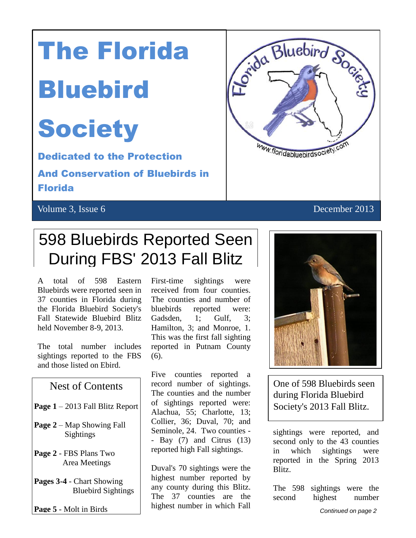# The Florida

## **Bluebird**

# **Society**

 $\left| \cdot \right|$ Dedicated to the Protection

And Conservation of Bluebirds in Florida

#### Volume 3, Issue 6 December 2013



### 598 Bluebirds Reported Seen During FBS' 2013 Fall Blitz

A total of 598 Eastern Bluebirds were reported seen in 37 counties in Florida during the Florida Bluebird Society's Fall Statewide Bluebird Blitz held November 8-9, 2013.

The total number includes sightings reported to the FBS and those listed on Ebird.

#### Nest of Contents

- **Page 1** 2013 Fall Blitz Report
- **Page 2** Map Showing Fall Sightings
- **Page 2** FBS Plans Two Area Meetings
- **Pages 3-4** Chart Showing Bluebird Sightings

**Page 5** - Molt in Birds

First-time sightings were received from four counties. The counties and number of bluebirds reported were: Gadsden, 1; Gulf, 3; Hamilton, 3; and Monroe, 1. This was the first fall sighting reported in Putnam County (6).

Five counties reported a record number of sightings. The counties and the number of sightings reported were: Alachua, 55; Charlotte, 13; Collier, 36; Duval, 70; and Seminole, 24. Two counties - - Bay (7) and Citrus (13) reported high Fall sightings.

Duval's 70 sightings were the highest number reported by any county during this Blitz. The 37 counties are the highest number in which Fall



One of 598 Bluebirds seen during Florida Bluebird Society's 2013 Fall Blitz.

sightings were reported, and second only to the 43 counties in which sightings were reported in the Spring 2013 Blitz.

The 598 sightings were the second highest number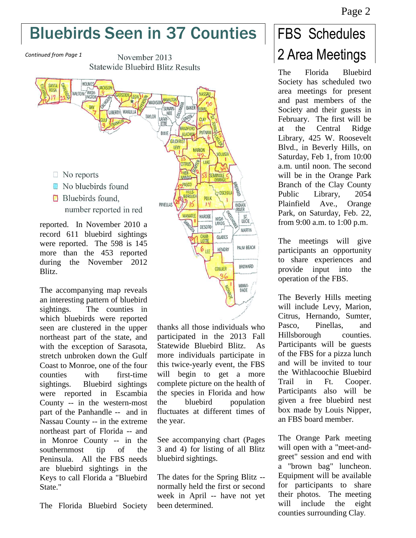### Bluebirds Seen in 37 Counties

*Continued from Page 1*

November 2013 **Statewide Bluebird Blitz Results** 



The accompanying map reveals an interesting pattern of bluebird sightings. The counties in which bluebirds were reported seen are clustered in the upper northeast part of the state, and with the exception of Sarasota, stretch unbroken down the Gulf Coast to Monroe, one of the four counties with first-time sightings. Bluebird sightings were reported in Escambia County -- in the western-most part of the Panhandle -- and in Nassau County -- in the extreme northeast part of Florida -- and in Monroe County -- in the southernmost tip of the Peninsula. All the FBS needs are bluebird sightings in the Keys to call Florida a "Bluebird State."

The Florida Bluebird Society

thanks all those individuals who participated in the 2013 Fall Statewide Bluebird Blitz. As more individuals participate in this twice-yearly event, the FBS will begin to get a more complete picture on the health of the species in Florida and how the bluebird population fluctuates at different times of the year.

See accompanying chart (Pages 3 and 4) for listing of all Blitz bluebird sightings.

The dates for the Spring Blitz - normally held the first or second week in April -- have not yet been determined.

### FBS Schedules 2 Area Meetings

The Florida Bluebird Society has scheduled two area meetings for present and past members of the Society and their guests in February. The first will be at the Central Ridge Library, 425 W. Roosevelt Blvd., in Beverly Hills, on Saturday, Feb 1, from 10:00 a.m. until noon. The second will be in the Orange Park Branch of the Clay County Public Library, 2054 Plainfield Ave., Orange Park, on Saturday, Feb. 22, from 9:00 a.m. to 1:00 p.m.

The meetings will give participants an opportunity to share experiences and provide input into the operation of the FBS.

The Beverly Hills meeting will include Levy, Marion, Citrus, Hernando, Sumter, Pasco, Pinellas, and Hillsborough counties. Participants will be guests of the FBS for a pizza lunch and will be invited to tour the Withlacoochie Bluebird Trail in Ft. Cooper. Participants also will be given a free bluebird nest box made by Louis Nipper, an FBS board member.

The Orange Park meeting will open with a "meet-andgreet" session and end with a "brown bag" luncheon. Equipment will be available for participants to share their photos. The meeting will include the eight counties surrounding Clay.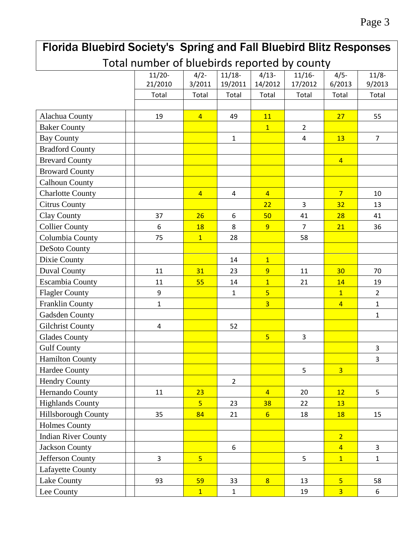#### Florida Bluebird Society's Spring and Fall Bluebird Blitz Responses Total number of bluebirds reported by county 11/20- 21/2010  $4/2 -$ 3/2011  $11/18-$ 19/2011  $4/13-$ 14/2012 11/16- 17/2012  $4/5 -$ 6/2013 11/8- 9/2013 Total Total Total Total Total Total Total Alachua County 19 19 14 | 49 | 11 | 127 | 55 Baker County 1 2 Bay County 1 4 13 7 Bradford County Brevard County (and The Prevard County and The Prevard County and American County and American County and American County and American County and American County and American County and American County and American County Broward County Calhoun County Charlotte County 4 4 4 7 10 Citrus County 22 3 32 13 Clay County 37 26 6 50 41 28 41 Collier County 1 | 6 | 18 | 8 | 9 | 7 | 21 | 36 Columbia County 75 1 28 58 DeSoto County Dixie County 14 1 Duval County 11 31 23 9 11 30 70 Escambia County | | 11 | 55 | 14 | 1 | 21 | 14 | 19 Flagler County 9 1 5 1 2 Franklin County 1 3 4 1 Gadsden County 1 Gilchrist County  $\begin{array}{|c|c|c|c|c|c|c|c|c|} \hline \end{array}$  4  $\begin{array}{|c|c|c|c|c|c|c|c|} \hline \end{array}$  52 Glades County The Studies of the Studies of the Studies of the Studies of the Studies of the Studies of the Studies of the Studies of the Studies of the Studies of the Studies of the Studies of the Studies of the Studies o Gulf County The Research of the Second Lines of the Second Lines of the Second Lines of the Second Lines of the S Hamilton County 3 Hardee County The Research of the Second Second Second Second Second Second Second Second Second Second Second S Hendry County 2 Hernando County 11 23 4 20 12 5 Highlands County 5 23 38 22 13 Hillsborough County | | 35 | 84 | 21 | 6 | 18 | 18 | 15 Holmes County Indian River County 2 Jackson County 6 4 3 Jefferson County 3 5 5 1 1 Lafayette County Lake County 93 59 33 8 13 5 58 Lee County 1 1 19 3 6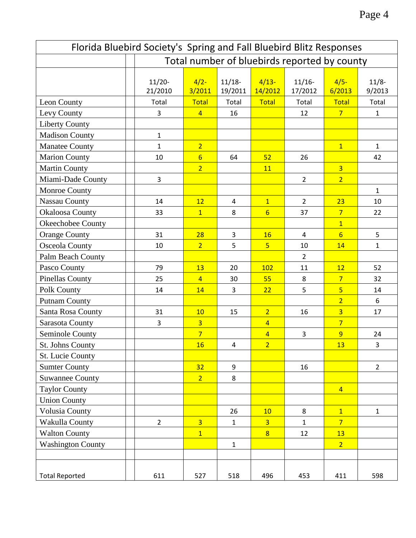| Florida Bluebird Society's Spring and Fall Bluebird Blitz Responses |                     |                                              |                     |                    |                      |                  |                   |  |
|---------------------------------------------------------------------|---------------------|----------------------------------------------|---------------------|--------------------|----------------------|------------------|-------------------|--|
|                                                                     |                     | Total number of bluebirds reported by county |                     |                    |                      |                  |                   |  |
|                                                                     | $11/20-$<br>21/2010 | $4/2-$<br>3/2011                             | $11/18-$<br>19/2011 | $4/13-$<br>14/2012 | $11/16 -$<br>17/2012 | $4/5-$<br>6/2013 | $11/8-$<br>9/2013 |  |
| Leon County                                                         | Total               | <b>Total</b>                                 | Total               | Total              | Total                | Total            | Total             |  |
| Levy County                                                         | 3                   | $\overline{4}$                               | 16                  |                    | 12                   | $7\overline{ }$  | $\mathbf{1}$      |  |
| <b>Liberty County</b>                                               |                     |                                              |                     |                    |                      |                  |                   |  |
| <b>Madison County</b>                                               | $\mathbf{1}$        |                                              |                     |                    |                      |                  |                   |  |
| <b>Manatee County</b>                                               | $\mathbf{1}$        | 2 <sup>1</sup>                               |                     |                    |                      | $\mathbf{1}$     | $\mathbf{1}$      |  |
| <b>Marion County</b>                                                | 10                  | $6\overline{6}$                              | 64                  | 52                 | 26                   |                  | 42                |  |
| <b>Martin County</b>                                                |                     | $\overline{2}$                               |                     | 11                 |                      | $\overline{3}$   |                   |  |
| Miami-Dade County                                                   | 3                   |                                              |                     |                    | $\overline{2}$       | $\overline{2}$   |                   |  |
| Monroe County                                                       |                     |                                              |                     |                    |                      |                  | $\mathbf{1}$      |  |
| <b>Nassau County</b>                                                | 14                  | 12                                           | 4                   | $\mathbf{1}$       | $\overline{2}$       | 23               | 10                |  |
| <b>Okaloosa County</b>                                              | 33                  | $\overline{1}$                               | 8                   | $6 \overline{}$    | 37                   | $\overline{7}$   | 22                |  |
| Okeechobee County                                                   |                     |                                              |                     |                    |                      | $\overline{1}$   |                   |  |
| <b>Orange County</b>                                                | 31                  | 28                                           | 3                   | 16                 | 4                    | $6 \overline{}$  | 5                 |  |
| Osceola County                                                      | 10                  | $\overline{2}$                               | 5                   | $\overline{5}$     | 10                   | 14               | $\mathbf{1}$      |  |
| Palm Beach County                                                   |                     |                                              |                     |                    | $\overline{2}$       |                  |                   |  |
| Pasco County                                                        | 79                  | 13                                           | 20                  | 102                | 11                   | 12               | 52                |  |
| <b>Pinellas County</b>                                              | 25                  | $\overline{4}$                               | 30                  | 55                 | 8                    | 7 <sup>2</sup>   | 32                |  |
| Polk County                                                         | 14                  | 14                                           | 3                   | 22                 | 5                    | $\overline{5}$   | 14                |  |
| <b>Putnam County</b>                                                |                     |                                              |                     |                    |                      | $\overline{2}$   | 6                 |  |
| Santa Rosa County                                                   | 31                  | 10                                           | 15                  | $\overline{2}$     | 16                   | $\overline{3}$   | 17                |  |
| Sarasota County                                                     | 3                   | $\overline{3}$                               |                     | $\overline{4}$     |                      | $\overline{7}$   |                   |  |
| Seminole County                                                     |                     | $\overline{7}$                               |                     | $\overline{4}$     | $\overline{3}$       | 9                | 24                |  |
| St. Johns County                                                    |                     | <b>16</b>                                    | 4                   | 2 <sup>1</sup>     |                      | <u>13</u>        | 3                 |  |
| St. Lucie County                                                    |                     |                                              |                     |                    |                      |                  |                   |  |
| <b>Sumter County</b>                                                |                     | 32                                           | 9                   |                    | 16                   |                  | $2^{\circ}$       |  |
| <b>Suwannee County</b>                                              |                     | 2 <sup>1</sup>                               | 8                   |                    |                      |                  |                   |  |
| <b>Taylor County</b>                                                |                     |                                              |                     |                    |                      | $\overline{4}$   |                   |  |
| <b>Union County</b>                                                 |                     |                                              |                     |                    |                      |                  |                   |  |
| Volusia County                                                      |                     |                                              | 26                  | 10                 | 8                    | $\mathbf{1}$     | $\mathbf{1}$      |  |
| Wakulla County                                                      | $\overline{2}$      | $\overline{3}$                               | $\mathbf{1}$        | $\overline{3}$     | $\mathbf{1}$         | $\overline{7}$   |                   |  |
| <b>Walton County</b>                                                |                     | $\overline{1}$                               |                     | $\overline{8}$     | 12                   | 13               |                   |  |
| <b>Washington County</b>                                            |                     |                                              | $\mathbf 1$         |                    |                      | 2 <sup>1</sup>   |                   |  |
|                                                                     |                     |                                              |                     |                    |                      |                  |                   |  |
| <b>Total Reported</b>                                               | 611                 | 527                                          | 518                 | 496                | 453                  | 411              | 598               |  |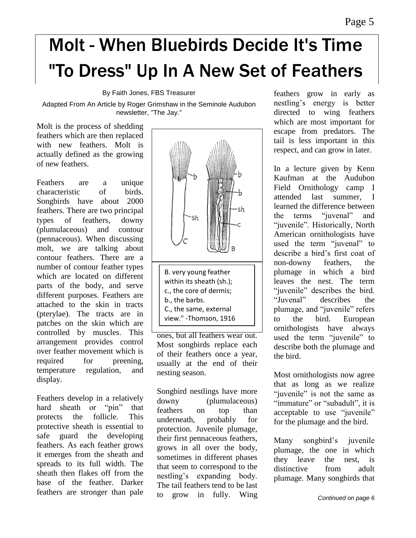### Molt - When Bluebirds Decide It's Time "To Dress" Up In A New Set of Feathers

By Faith Jones, FBS Treasurer

Adapted From An Article by Roger Grimshaw in the Seminole Audubon newsletter, "The Jay."

Molt is the process of shedding feathers which are then replaced with new feathers. Molt is actually defined as the growing of new feathers.

Feathers are a unique characteristic of birds. Songbirds have about 2000 feathers. There are two principal types of feathers, downy (plumulaceous) and contour (pennaceous). When discussing molt, we are talking about contour feathers. There are a number of contour feather types which are located on different parts of the body, and serve different purposes. Feathers are attached to the skin in tracts (pterylae). The tracts are in patches on the skin which are controlled by muscles. This arrangement provides control over feather movement which is required for preening. temperature regulation, and display.

Feathers develop in a relatively hard sheath or "pin" that protects the follicle. This protective sheath is essential to safe guard the developing feathers. As each feather grows it emerges from the sheath and spreads to its full width. The sheath then flakes off from the base of the feather. Darker feathers are stronger than pale



Most songbirds replace each of their feathers once a year, usually at the end of their nesting season.

Songbird nestlings have more downy (plumulaceous) feathers on top than underneath, probably for protection. Juvenile plumage, their first pennaceous feathers, grows in all over the body, sometimes in different phases that seem to correspond to the nestling's expanding body. The tail feathers tend to be last to grow in fully. Wing feathers grow in early as nestling's energy is better directed to wing feathers which are most important for escape from predators. The tail is less important in this respect, and can grow in later.

In a lecture given by Kenn Kaufman at the Audubon Field Ornithology camp I attended last summer, I learned the difference between the terms "juvenal" and "juvenile". Historically, North American ornithologists have used the term "juvenal" to describe a bird's first coat of non-downy feathers, the plumage in which a bird leaves the nest. The term "juvenile" describes the bird. "Juvenal" describes the plumage, and "juvenile" refers to the bird. European ornithologists have always used the term "juvenile" to describe both the plumage and the bird.

Most ornithologists now agree that as long as we realize "juvenile" is not the same as "immature" or "subadult", it is acceptable to use "juvenile" for the plumage and the bird.

Many songbird's juvenile plumage, the one in which they leave the nest, is distinctive from adult plumage. Many songbirds that